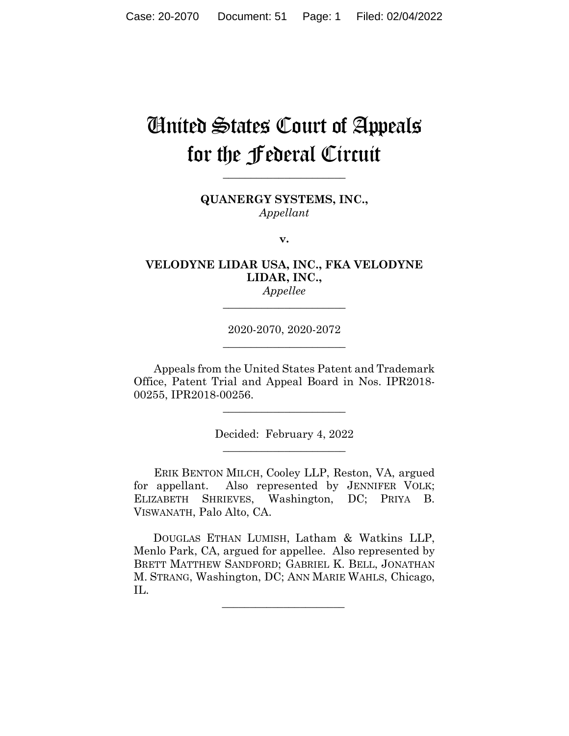# United States Court of Appeals for the Federal Circuit

**\_\_\_\_\_\_\_\_\_\_\_\_\_\_\_\_\_\_\_\_\_\_** 

**QUANERGY SYSTEMS, INC.,** *Appellant*

**v.**

# **VELODYNE LIDAR USA, INC., FKA VELODYNE LIDAR, INC.,**

*Appellee* **\_\_\_\_\_\_\_\_\_\_\_\_\_\_\_\_\_\_\_\_\_\_** 

2020-2070, 2020-2072 **\_\_\_\_\_\_\_\_\_\_\_\_\_\_\_\_\_\_\_\_\_\_** 

Appeals from the United States Patent and Trademark Office, Patent Trial and Appeal Board in Nos. IPR2018- 00255, IPR2018-00256.

> Decided: February 4, 2022  $\overline{\phantom{a}}$  , we can assume that the contract of  $\overline{\phantom{a}}$

 $\overline{\phantom{a}}$  , we can assume that the contract of  $\overline{\phantom{a}}$ 

ERIK BENTON MILCH, Cooley LLP, Reston, VA, argued for appellant. Also represented by JENNIFER VOLK; ELIZABETH SHRIEVES, Washington, DC; PRIYA B. VISWANATH, Palo Alto, CA.

 DOUGLAS ETHAN LUMISH, Latham & Watkins LLP, Menlo Park, CA, argued for appellee. Also represented by BRETT MATTHEW SANDFORD; GABRIEL K. BELL, JONATHAN M. STRANG, Washington, DC; ANN MARIE WAHLS, Chicago, IL.

 $\mathcal{L}_\text{max}$  and  $\mathcal{L}_\text{max}$  and  $\mathcal{L}_\text{max}$  and  $\mathcal{L}_\text{max}$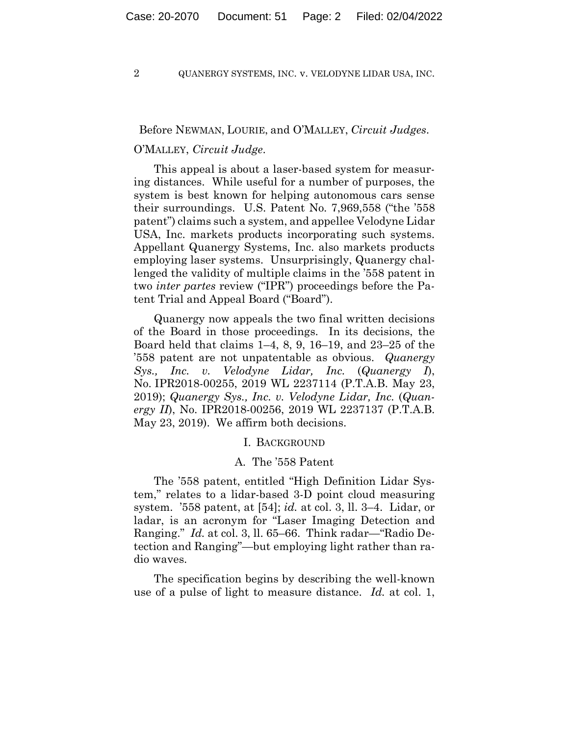#### Before NEWMAN, LOURIE, and O'MALLEY, *Circuit Judges*.

#### O'MALLEY, *Circuit Judge*.

This appeal is about a laser-based system for measuring distances. While useful for a number of purposes, the system is best known for helping autonomous cars sense their surroundings. U.S. Patent No. 7,969,558 ("the '558 patent") claims such a system, and appellee Velodyne Lidar USA, Inc. markets products incorporating such systems. Appellant Quanergy Systems, Inc. also markets products employing laser systems. Unsurprisingly, Quanergy challenged the validity of multiple claims in the '558 patent in two *inter partes* review ("IPR") proceedings before the Patent Trial and Appeal Board ("Board").

Quanergy now appeals the two final written decisions of the Board in those proceedings. In its decisions, the Board held that claims 1–4, 8, 9, 16–19, and 23–25 of the '558 patent are not unpatentable as obvious. *Quanergy Sys., Inc. v. Velodyne Lidar, Inc.* (*Quanergy I*), No. IPR2018-00255, 2019 WL 2237114 (P.T.A.B. May 23, 2019); *Quanergy Sys., Inc. v. Velodyne Lidar, Inc.* (*Quanergy II*), No. IPR2018-00256, 2019 WL 2237137 (P.T.A.B. May 23, 2019). We affirm both decisions.

#### I. BACKGROUND

#### A. The '558 Patent

The '558 patent, entitled "High Definition Lidar System," relates to a lidar-based 3-D point cloud measuring system. '558 patent, at [54]; *id.* at col. 3, ll. 3–4. Lidar, or ladar, is an acronym for "Laser Imaging Detection and Ranging." *Id.* at col. 3, ll. 65–66. Think radar—"Radio Detection and Ranging"—but employing light rather than radio waves.

The specification begins by describing the well-known use of a pulse of light to measure distance. *Id.* at col. 1,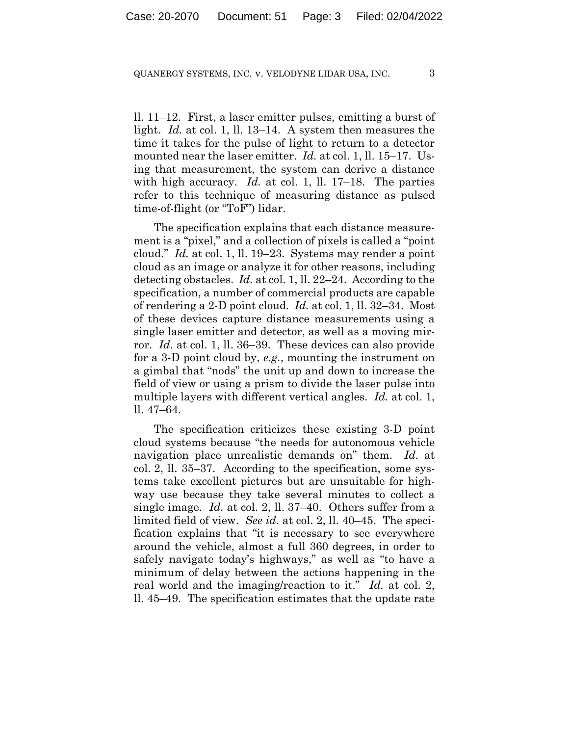ll. 11–12. First, a laser emitter pulses, emitting a burst of light. *Id.* at col. 1, ll. 13–14. A system then measures the time it takes for the pulse of light to return to a detector mounted near the laser emitter. *Id.* at col. 1, ll. 15–17. Using that measurement, the system can derive a distance with high accuracy. *Id.* at col. 1, ll. 17–18. The parties refer to this technique of measuring distance as pulsed time-of-flight (or "ToF") lidar.

The specification explains that each distance measurement is a "pixel," and a collection of pixels is called a "point cloud." *Id.* at col. 1, ll. 19–23. Systems may render a point cloud as an image or analyze it for other reasons, including detecting obstacles. *Id.* at col. 1, ll. 22–24. According to the specification, a number of commercial products are capable of rendering a 2-D point cloud. *Id.* at col. 1, ll. 32–34. Most of these devices capture distance measurements using a single laser emitter and detector, as well as a moving mirror. *Id.* at col. 1, ll. 36–39. These devices can also provide for a 3-D point cloud by, *e.g.*, mounting the instrument on a gimbal that "nods" the unit up and down to increase the field of view or using a prism to divide the laser pulse into multiple layers with different vertical angles. *Id.* at col. 1, ll. 47–64.

The specification criticizes these existing 3-D point cloud systems because "the needs for autonomous vehicle navigation place unrealistic demands on" them. *Id.* at col. 2, ll. 35–37. According to the specification, some systems take excellent pictures but are unsuitable for highway use because they take several minutes to collect a single image. *Id.* at col. 2, ll. 37–40. Others suffer from a limited field of view. *See id.* at col. 2, ll. 40–45. The specification explains that "it is necessary to see everywhere around the vehicle, almost a full 360 degrees, in order to safely navigate today's highways," as well as "to have a minimum of delay between the actions happening in the real world and the imaging/reaction to it." *Id.* at col. 2, ll. 45–49. The specification estimates that the update rate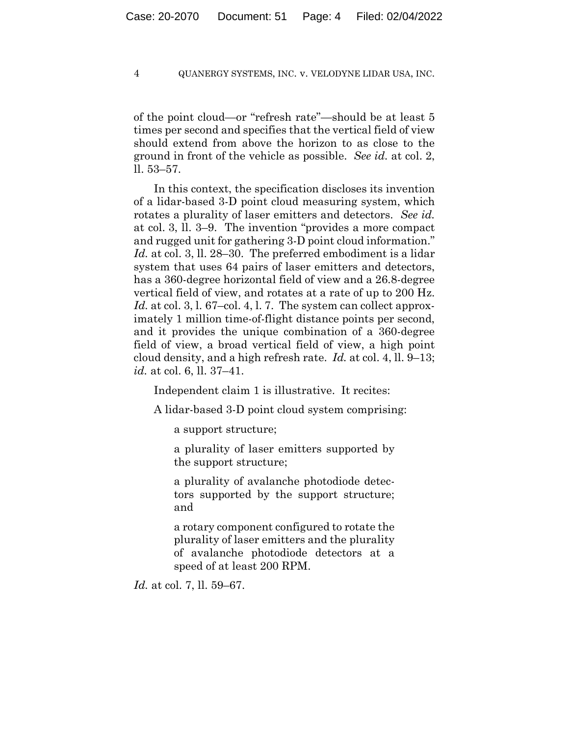of the point cloud—or "refresh rate"—should be at least 5 times per second and specifies that the vertical field of view should extend from above the horizon to as close to the ground in front of the vehicle as possible. *See id.* at col. 2, ll. 53–57.

In this context, the specification discloses its invention of a lidar-based 3-D point cloud measuring system, which rotates a plurality of laser emitters and detectors. *See id.* at col. 3, ll. 3–9. The invention "provides a more compact and rugged unit for gathering 3-D point cloud information." *Id.* at col. 3, ll. 28–30. The preferred embodiment is a lidar system that uses 64 pairs of laser emitters and detectors, has a 360-degree horizontal field of view and a 26.8-degree vertical field of view, and rotates at a rate of up to 200 Hz. Id. at col. 3, l. 67–col. 4, l. 7. The system can collect approximately 1 million time-of-flight distance points per second, and it provides the unique combination of a 360-degree field of view, a broad vertical field of view, a high point cloud density, and a high refresh rate. *Id.* at col. 4, ll. 9–13; *id.* at col. 6, ll. 37–41.

Independent claim 1 is illustrative. It recites:

A lidar-based 3-D point cloud system comprising:

a support structure;

a plurality of laser emitters supported by the support structure;

a plurality of avalanche photodiode detectors supported by the support structure; and

a rotary component configured to rotate the plurality of laser emitters and the plurality of avalanche photodiode detectors at a speed of at least 200 RPM.

*Id.* at col. 7, ll. 59–67.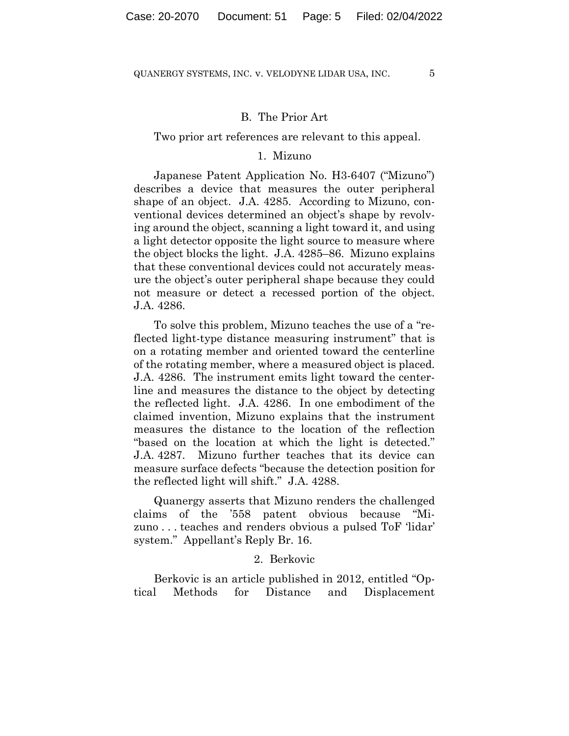#### B. The Prior Art

#### Two prior art references are relevant to this appeal.

#### 1. Mizuno

Japanese Patent Application No. H3-6407 ("Mizuno") describes a device that measures the outer peripheral shape of an object. J.A. 4285. According to Mizuno, conventional devices determined an object's shape by revolving around the object, scanning a light toward it, and using a light detector opposite the light source to measure where the object blocks the light. J.A. 4285–86. Mizuno explains that these conventional devices could not accurately measure the object's outer peripheral shape because they could not measure or detect a recessed portion of the object. J.A. 4286.

To solve this problem, Mizuno teaches the use of a "reflected light-type distance measuring instrument" that is on a rotating member and oriented toward the centerline of the rotating member, where a measured object is placed. J.A. 4286. The instrument emits light toward the centerline and measures the distance to the object by detecting the reflected light. J.A. 4286. In one embodiment of the claimed invention, Mizuno explains that the instrument measures the distance to the location of the reflection "based on the location at which the light is detected." J.A. 4287. Mizuno further teaches that its device can measure surface defects "because the detection position for the reflected light will shift." J.A. 4288.

Quanergy asserts that Mizuno renders the challenged claims of the '558 patent obvious because "Mizuno . . . teaches and renders obvious a pulsed ToF 'lidar' system." Appellant's Reply Br. 16.

#### 2. Berkovic

Berkovic is an article published in 2012, entitled "Optical Methods for Distance and Displacement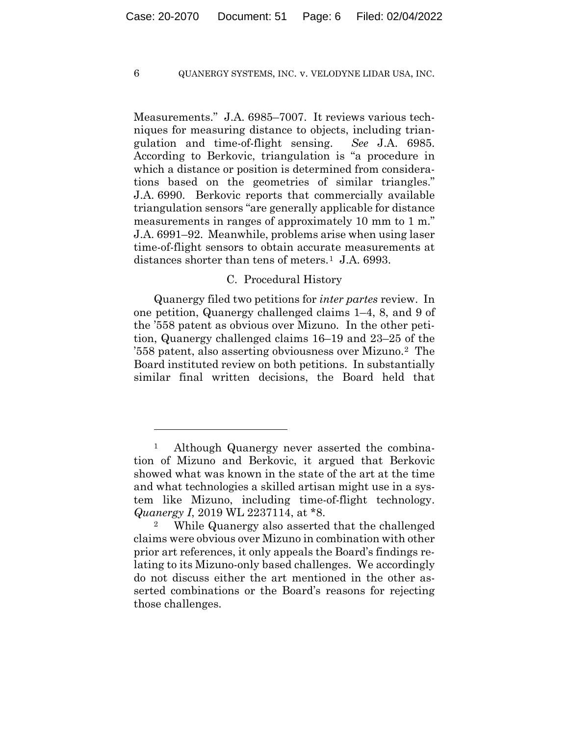Measurements." J.A. 6985–7007. It reviews various techniques for measuring distance to objects, including triangulation and time-of-flight sensing. *See* J.A. 6985. According to Berkovic, triangulation is "a procedure in which a distance or position is determined from considerations based on the geometries of similar triangles." J.A. 6990. Berkovic reports that commercially available triangulation sensors "are generally applicable for distance measurements in ranges of approximately 10 mm to 1 m." J.A. 6991–92. Meanwhile, problems arise when using laser time-of-flight sensors to obtain accurate measurements at distances shorter than tens of meters.<sup>1</sup> J.A. 6993.

#### C. Procedural History

Quanergy filed two petitions for *inter partes* review. In one petition, Quanergy challenged claims 1–4, 8, and 9 of the '558 patent as obvious over Mizuno. In the other petition, Quanergy challenged claims 16–19 and 23–25 of the '558 patent, also asserting obviousness over Mizuno.2 The Board instituted review on both petitions. In substantially similar final written decisions, the Board held that

<sup>1</sup> Although Quanergy never asserted the combination of Mizuno and Berkovic, it argued that Berkovic showed what was known in the state of the art at the time and what technologies a skilled artisan might use in a system like Mizuno, including time-of-flight technology. *Quanergy I*, 2019 WL 2237114, at \*8.

While Quanergy also asserted that the challenged claims were obvious over Mizuno in combination with other prior art references, it only appeals the Board's findings relating to its Mizuno-only based challenges. We accordingly do not discuss either the art mentioned in the other asserted combinations or the Board's reasons for rejecting those challenges.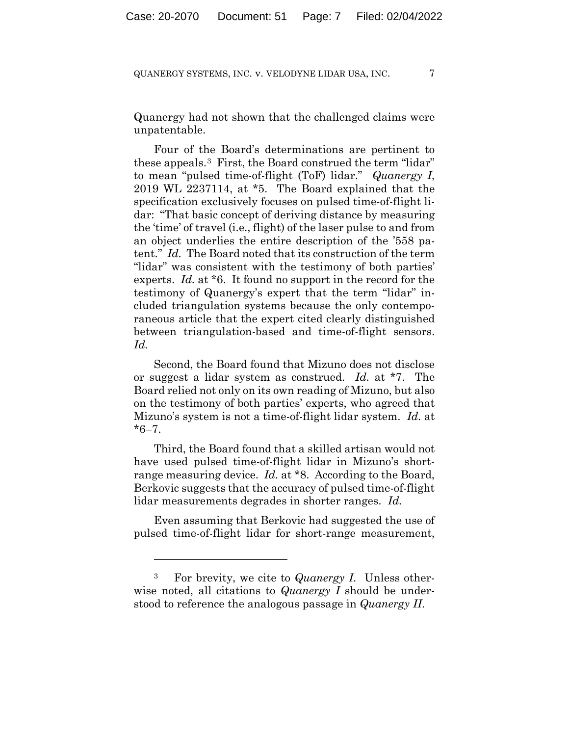Quanergy had not shown that the challenged claims were unpatentable.

Four of the Board's determinations are pertinent to these appeals.3 First, the Board construed the term "lidar" to mean "pulsed time-of-flight (ToF) lidar." *Quanergy I*, 2019 WL 2237114, at \*5. The Board explained that the specification exclusively focuses on pulsed time-of-flight lidar: "That basic concept of deriving distance by measuring the 'time' of travel (i.e., flight) of the laser pulse to and from an object underlies the entire description of the '558 patent." *Id.* The Board noted that its construction of the term "lidar" was consistent with the testimony of both parties' experts. *Id.* at \*6. It found no support in the record for the testimony of Quanergy's expert that the term "lidar" included triangulation systems because the only contemporaneous article that the expert cited clearly distinguished between triangulation-based and time-of-flight sensors. *Id.*

Second, the Board found that Mizuno does not disclose or suggest a lidar system as construed. *Id.* at \*7. The Board relied not only on its own reading of Mizuno, but also on the testimony of both parties' experts, who agreed that Mizuno's system is not a time-of-flight lidar system. *Id.* at  $*6 - 7$ .

Third, the Board found that a skilled artisan would not have used pulsed time-of-flight lidar in Mizuno's shortrange measuring device. *Id.* at \*8. According to the Board, Berkovic suggests that the accuracy of pulsed time-of-flight lidar measurements degrades in shorter ranges. *Id.*

Even assuming that Berkovic had suggested the use of pulsed time-of-flight lidar for short-range measurement,

<sup>3</sup> For brevity, we cite to *Quanergy I*. Unless otherwise noted, all citations to *Quanergy I* should be understood to reference the analogous passage in *Quanergy II*.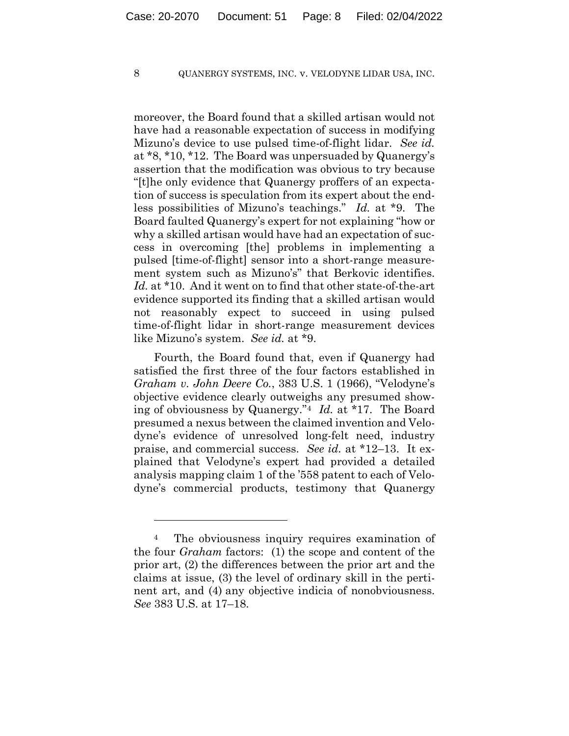moreover, the Board found that a skilled artisan would not have had a reasonable expectation of success in modifying Mizuno's device to use pulsed time-of-flight lidar. *See id.* at \*8, \*10, \*12. The Board was unpersuaded by Quanergy's assertion that the modification was obvious to try because "[t]he only evidence that Quanergy proffers of an expectation of success is speculation from its expert about the endless possibilities of Mizuno's teachings." *Id.* at \*9. The Board faulted Quanergy's expert for not explaining "how or why a skilled artisan would have had an expectation of success in overcoming [the] problems in implementing a pulsed [time-of-flight] sensor into a short-range measurement system such as Mizuno's" that Berkovic identifies. *Id.* at \*10. And it went on to find that other state-of-the-art evidence supported its finding that a skilled artisan would not reasonably expect to succeed in using pulsed time-of-flight lidar in short-range measurement devices like Mizuno's system. *See id.* at \*9.

Fourth, the Board found that, even if Quanergy had satisfied the first three of the four factors established in *Graham v. John Deere Co.*, 383 U.S. 1 (1966), "Velodyne's objective evidence clearly outweighs any presumed showing of obviousness by Quanergy."4 *Id.* at \*17. The Board presumed a nexus between the claimed invention and Velodyne's evidence of unresolved long-felt need, industry praise, and commercial success. *See id.* at \*12–13. It explained that Velodyne's expert had provided a detailed analysis mapping claim 1 of the '558 patent to each of Velodyne's commercial products, testimony that Quanergy

<sup>&</sup>lt;sup>4</sup> The obviousness inquiry requires examination of the four *Graham* factors: (1) the scope and content of the prior art, (2) the differences between the prior art and the claims at issue, (3) the level of ordinary skill in the pertinent art, and (4) any objective indicia of nonobviousness. *See* 383 U.S. at 17–18.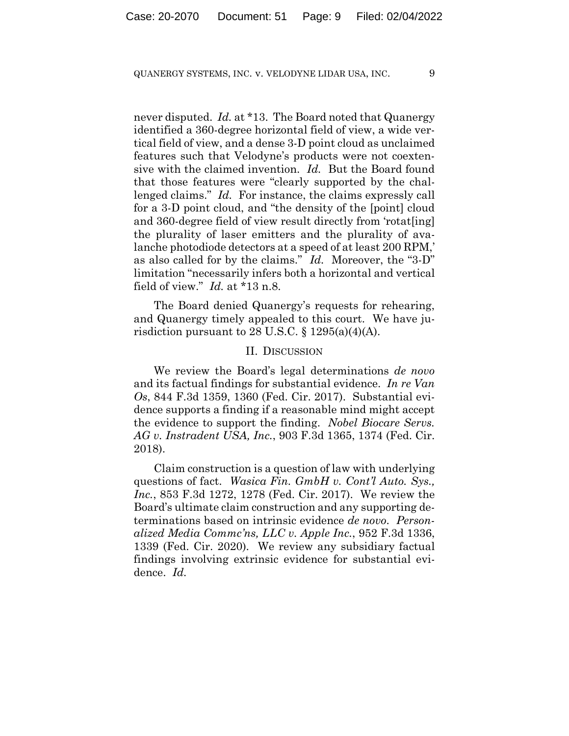never disputed. *Id.* at \*13. The Board noted that Quanergy identified a 360-degree horizontal field of view, a wide vertical field of view, and a dense 3-D point cloud as unclaimed features such that Velodyne's products were not coextensive with the claimed invention. *Id.* But the Board found that those features were "clearly supported by the challenged claims." *Id.* For instance, the claims expressly call for a 3-D point cloud, and "the density of the [point] cloud and 360-degree field of view result directly from 'rotat[ing] the plurality of laser emitters and the plurality of avalanche photodiode detectors at a speed of at least 200 RPM,' as also called for by the claims." *Id.* Moreover, the "3-D" limitation "necessarily infers both a horizontal and vertical field of view." *Id.* at \*13 n.8.

The Board denied Quanergy's requests for rehearing, and Quanergy timely appealed to this court. We have jurisdiction pursuant to 28 U.S.C.  $\S$  1295(a)(4)(A).

#### II. DISCUSSION

We review the Board's legal determinations *de novo* and its factual findings for substantial evidence. *In re Van Os*, 844 F.3d 1359, 1360 (Fed. Cir. 2017). Substantial evidence supports a finding if a reasonable mind might accept the evidence to support the finding. *Nobel Biocare Servs. AG v. Instradent USA, Inc.*, 903 F.3d 1365, 1374 (Fed. Cir. 2018).

Claim construction is a question of law with underlying questions of fact. *Wasica Fin. GmbH v. Cont'l Auto. Sys., Inc.*, 853 F.3d 1272, 1278 (Fed. Cir. 2017). We review the Board's ultimate claim construction and any supporting determinations based on intrinsic evidence *de novo*. *Personalized Media Commc'ns, LLC v. Apple Inc.*, 952 F.3d 1336, 1339 (Fed. Cir. 2020). We review any subsidiary factual findings involving extrinsic evidence for substantial evidence. *Id.*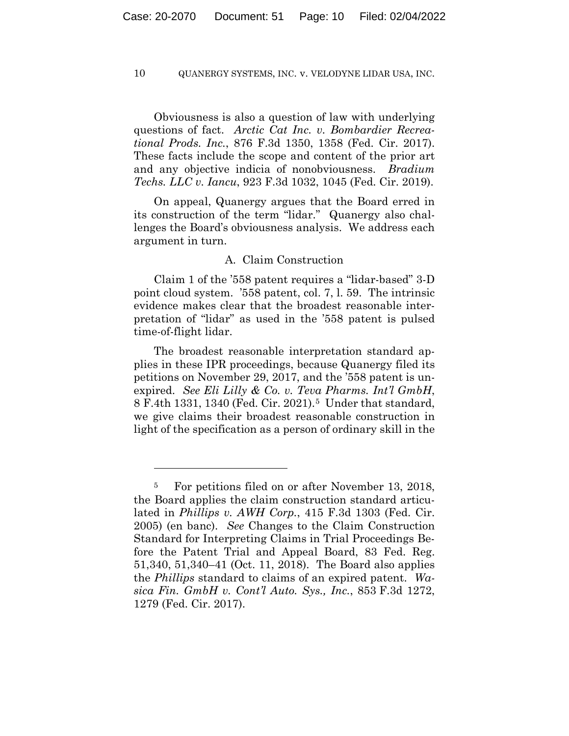Obviousness is also a question of law with underlying questions of fact. *Arctic Cat Inc. v. Bombardier Recreational Prods. Inc.*, 876 F.3d 1350, 1358 (Fed. Cir. 2017). These facts include the scope and content of the prior art and any objective indicia of nonobviousness. *Bradium Techs. LLC v. Iancu*, 923 F.3d 1032, 1045 (Fed. Cir. 2019).

On appeal, Quanergy argues that the Board erred in its construction of the term "lidar." Quanergy also challenges the Board's obviousness analysis. We address each argument in turn.

#### A. Claim Construction

Claim 1 of the '558 patent requires a "lidar-based" 3-D point cloud system. '558 patent, col. 7, l. 59. The intrinsic evidence makes clear that the broadest reasonable interpretation of "lidar" as used in the '558 patent is pulsed time-of-flight lidar.

The broadest reasonable interpretation standard applies in these IPR proceedings, because Quanergy filed its petitions on November 29, 2017, and the '558 patent is unexpired. *See Eli Lilly & Co. v. Teva Pharms. Int'l GmbH*, 8 F.4th 1331, 1340 (Fed. Cir. 2021).5 Under that standard, we give claims their broadest reasonable construction in light of the specification as a person of ordinary skill in the

<sup>5</sup> For petitions filed on or after November 13, 2018, the Board applies the claim construction standard articulated in *Phillips v. AWH Corp.*, 415 F.3d 1303 (Fed. Cir. 2005) (en banc). *See* Changes to the Claim Construction Standard for Interpreting Claims in Trial Proceedings Before the Patent Trial and Appeal Board, 83 Fed. Reg. 51,340, 51,340–41 (Oct. 11, 2018). The Board also applies the *Phillips* standard to claims of an expired patent. *Wasica Fin. GmbH v. Cont'l Auto. Sys., Inc.*, 853 F.3d 1272, 1279 (Fed. Cir. 2017).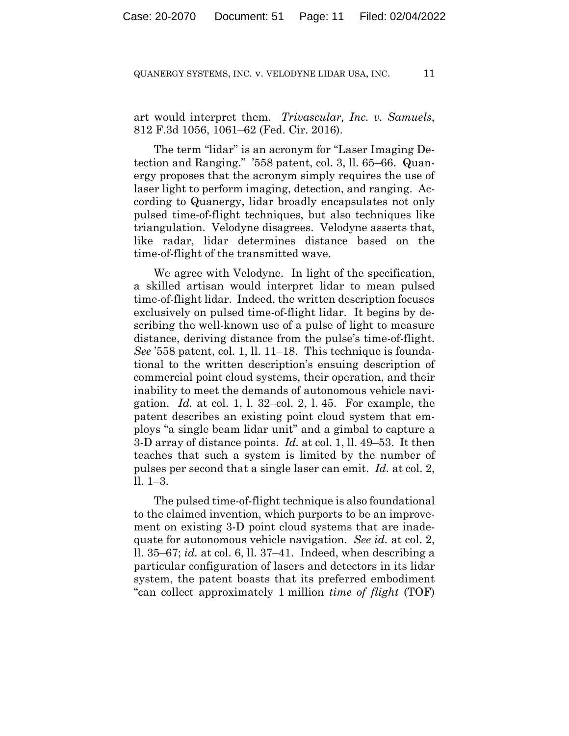art would interpret them. *Trivascular, Inc. v. Samuels*, 812 F.3d 1056, 1061–62 (Fed. Cir. 2016).

The term "lidar" is an acronym for "Laser Imaging Detection and Ranging." '558 patent, col. 3, ll. 65–66. Quanergy proposes that the acronym simply requires the use of laser light to perform imaging, detection, and ranging. According to Quanergy, lidar broadly encapsulates not only pulsed time-of-flight techniques, but also techniques like triangulation. Velodyne disagrees. Velodyne asserts that, like radar, lidar determines distance based on the time-of-flight of the transmitted wave.

We agree with Velodyne. In light of the specification, a skilled artisan would interpret lidar to mean pulsed time-of-flight lidar. Indeed, the written description focuses exclusively on pulsed time-of-flight lidar. It begins by describing the well-known use of a pulse of light to measure distance, deriving distance from the pulse's time-of-flight. *See* '558 patent, col. 1, ll. 11–18. This technique is foundational to the written description's ensuing description of commercial point cloud systems, their operation, and their inability to meet the demands of autonomous vehicle navigation. *Id.* at col. 1, l. 32–col. 2, l. 45. For example, the patent describes an existing point cloud system that employs "a single beam lidar unit" and a gimbal to capture a 3-D array of distance points. *Id.* at col. 1, ll. 49–53. It then teaches that such a system is limited by the number of pulses per second that a single laser can emit. *Id.* at col. 2, ll. 1–3.

The pulsed time-of-flight technique is also foundational to the claimed invention, which purports to be an improvement on existing 3-D point cloud systems that are inadequate for autonomous vehicle navigation. *See id.* at col. 2, ll. 35–67; *id.* at col. 6, ll. 37–41. Indeed, when describing a particular configuration of lasers and detectors in its lidar system, the patent boasts that its preferred embodiment "can collect approximately 1 million *time of flight* (TOF)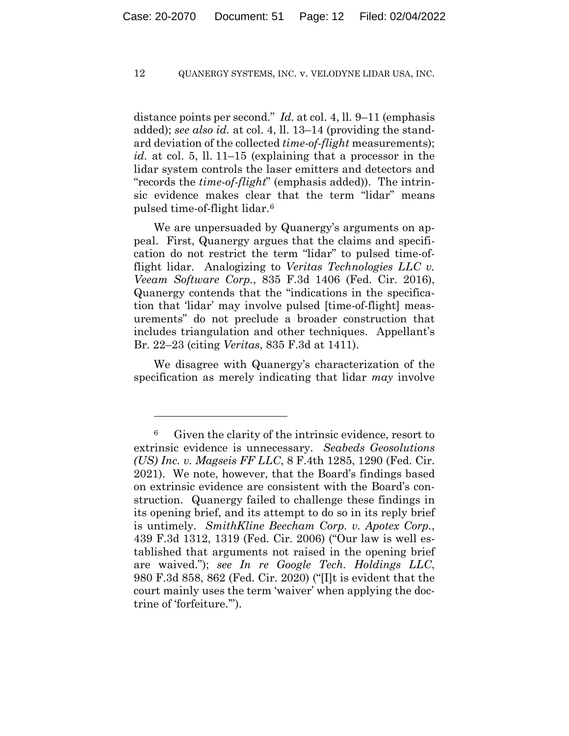distance points per second." *Id.* at col. 4, ll. 9–11 (emphasis added); *see also id.* at col. 4, ll. 13–14 (providing the standard deviation of the collected *time-of-flight* measurements); *id.* at col. 5, ll. 11–15 (explaining that a processor in the lidar system controls the laser emitters and detectors and "records the *time-of-flight*" (emphasis added)). The intrinsic evidence makes clear that the term "lidar" means pulsed time-of-flight lidar.6

We are unpersuaded by Quanergy's arguments on appeal. First, Quanergy argues that the claims and specification do not restrict the term "lidar" to pulsed time-offlight lidar. Analogizing to *Veritas Technologies LLC v. Veeam Software Corp.*, 835 F.3d 1406 (Fed. Cir. 2016), Quanergy contends that the "indications in the specification that 'lidar' may involve pulsed [time-of-flight] measurements" do not preclude a broader construction that includes triangulation and other techniques. Appellant's Br. 22–23 (citing *Veritas*, 835 F.3d at 1411).

We disagree with Quanergy's characterization of the specification as merely indicating that lidar *may* involve

<sup>6</sup> Given the clarity of the intrinsic evidence, resort to extrinsic evidence is unnecessary. *Seabeds Geosolutions (US) Inc. v. Magseis FF LLC*, 8 F.4th 1285, 1290 (Fed. Cir. 2021). We note, however, that the Board's findings based on extrinsic evidence are consistent with the Board's construction. Quanergy failed to challenge these findings in its opening brief, and its attempt to do so in its reply brief is untimely. *SmithKline Beecham Corp. v. Apotex Corp.*, 439 F.3d 1312, 1319 (Fed. Cir. 2006) ("Our law is well established that arguments not raised in the opening brief are waived."); *see In re Google Tech. Holdings LLC*, 980 F.3d 858, 862 (Fed. Cir. 2020) ("[I]t is evident that the court mainly uses the term 'waiver' when applying the doctrine of 'forfeiture.'").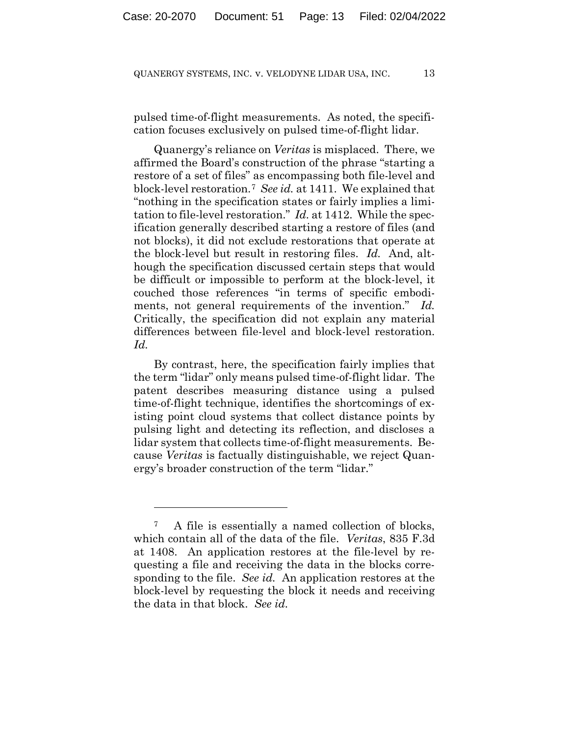pulsed time-of-flight measurements. As noted, the specification focuses exclusively on pulsed time-of-flight lidar.

Quanergy's reliance on *Veritas* is misplaced. There, we affirmed the Board's construction of the phrase "starting a restore of a set of files" as encompassing both file-level and block-level restoration.7 *See id.* at 1411. We explained that "nothing in the specification states or fairly implies a limitation to file-level restoration." *Id.* at 1412. While the specification generally described starting a restore of files (and not blocks), it did not exclude restorations that operate at the block-level but result in restoring files. *Id.* And, although the specification discussed certain steps that would be difficult or impossible to perform at the block-level, it couched those references "in terms of specific embodiments, not general requirements of the invention." *Id.* Critically, the specification did not explain any material differences between file-level and block-level restoration. *Id.*

By contrast, here, the specification fairly implies that the term "lidar" only means pulsed time-of-flight lidar. The patent describes measuring distance using a pulsed time-of-flight technique, identifies the shortcomings of existing point cloud systems that collect distance points by pulsing light and detecting its reflection, and discloses a lidar system that collects time-of-flight measurements. Because *Veritas* is factually distinguishable, we reject Quanergy's broader construction of the term "lidar."

<sup>7</sup> A file is essentially a named collection of blocks, which contain all of the data of the file. *Veritas*, 835 F.3d at 1408. An application restores at the file-level by requesting a file and receiving the data in the blocks corresponding to the file. *See id.* An application restores at the block-level by requesting the block it needs and receiving the data in that block. *See id.*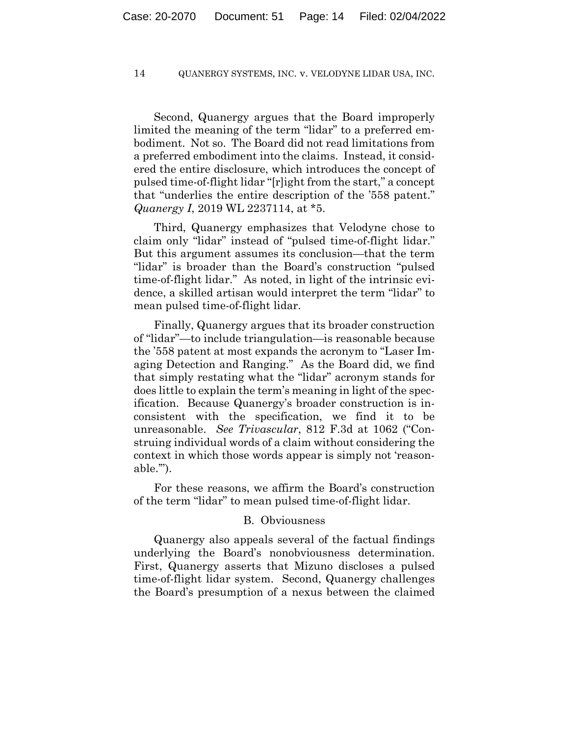Second, Quanergy argues that the Board improperly limited the meaning of the term "lidar" to a preferred embodiment. Not so. The Board did not read limitations from a preferred embodiment into the claims. Instead, it considered the entire disclosure, which introduces the concept of pulsed time-of-flight lidar "[r]ight from the start," a concept that "underlies the entire description of the '558 patent." *Quanergy I*, 2019 WL 2237114, at \*5.

Third, Quanergy emphasizes that Velodyne chose to claim only "lidar" instead of "pulsed time-of-flight lidar." But this argument assumes its conclusion—that the term "lidar" is broader than the Board's construction "pulsed time-of-flight lidar." As noted, in light of the intrinsic evidence, a skilled artisan would interpret the term "lidar" to mean pulsed time-of-flight lidar.

Finally, Quanergy argues that its broader construction of "lidar"—to include triangulation—is reasonable because the '558 patent at most expands the acronym to "Laser Imaging Detection and Ranging." As the Board did, we find that simply restating what the "lidar" acronym stands for does little to explain the term's meaning in light of the specification. Because Quanergy's broader construction is inconsistent with the specification, we find it to be unreasonable. *See Trivascular*, 812 F.3d at 1062 ("Construing individual words of a claim without considering the context in which those words appear is simply not 'reasonable.'").

For these reasons, we affirm the Board's construction of the term "lidar" to mean pulsed time-of-flight lidar.

#### B. Obviousness

Quanergy also appeals several of the factual findings underlying the Board's nonobviousness determination. First, Quanergy asserts that Mizuno discloses a pulsed time-of-flight lidar system. Second, Quanergy challenges the Board's presumption of a nexus between the claimed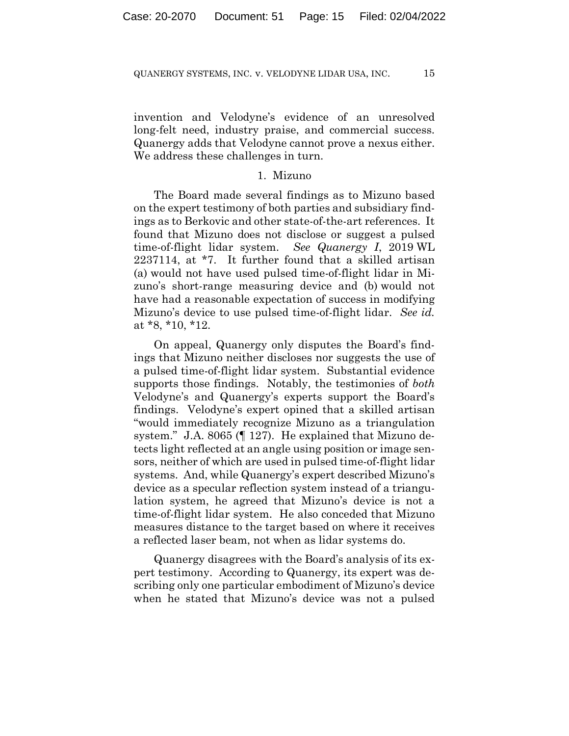invention and Velodyne's evidence of an unresolved long-felt need, industry praise, and commercial success. Quanergy adds that Velodyne cannot prove a nexus either. We address these challenges in turn.

#### 1. Mizuno

The Board made several findings as to Mizuno based on the expert testimony of both parties and subsidiary findings as to Berkovic and other state-of-the-art references. It found that Mizuno does not disclose or suggest a pulsed time-of-flight lidar system. *See Quanergy I*, 2019 WL 2237114, at \*7. It further found that a skilled artisan (a) would not have used pulsed time-of-flight lidar in Mizuno's short-range measuring device and (b) would not have had a reasonable expectation of success in modifying Mizuno's device to use pulsed time-of-flight lidar. *See id.* at \*8, \*10, \*12.

On appeal, Quanergy only disputes the Board's findings that Mizuno neither discloses nor suggests the use of a pulsed time-of-flight lidar system. Substantial evidence supports those findings. Notably, the testimonies of *both* Velodyne's and Quanergy's experts support the Board's findings. Velodyne's expert opined that a skilled artisan "would immediately recognize Mizuno as a triangulation system." J.A. 8065 (¶ 127). He explained that Mizuno detects light reflected at an angle using position or image sensors, neither of which are used in pulsed time-of-flight lidar systems. And, while Quanergy's expert described Mizuno's device as a specular reflection system instead of a triangulation system, he agreed that Mizuno's device is not a time-of-flight lidar system. He also conceded that Mizuno measures distance to the target based on where it receives a reflected laser beam, not when as lidar systems do.

Quanergy disagrees with the Board's analysis of its expert testimony. According to Quanergy, its expert was describing only one particular embodiment of Mizuno's device when he stated that Mizuno's device was not a pulsed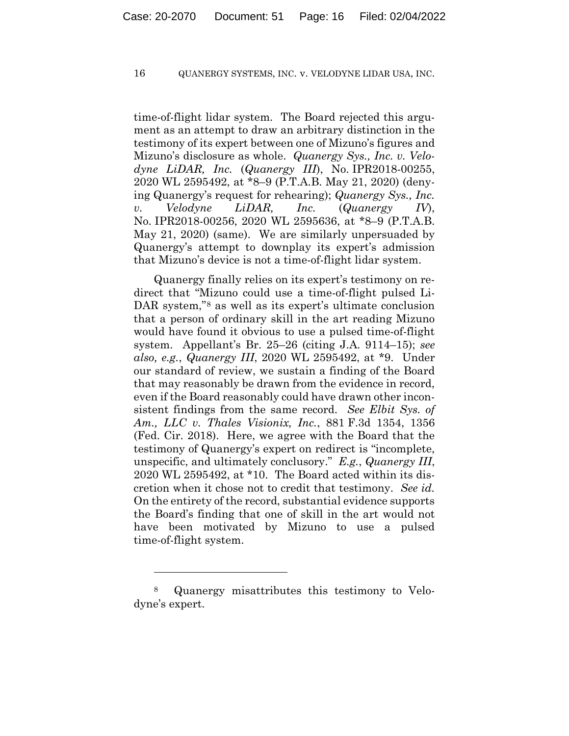time-of-flight lidar system. The Board rejected this argument as an attempt to draw an arbitrary distinction in the testimony of its expert between one of Mizuno's figures and Mizuno's disclosure as whole. *Quanergy Sys., Inc. v. Velodyne LiDAR, Inc.* (*Quanergy III*), No. IPR2018-00255, 2020 WL 2595492, at \*8–9 (P.T.A.B. May 21, 2020) (denying Quanergy's request for rehearing); *Quanergy Sys., Inc. v. Velodyne LiDAR, Inc.* (*Quanergy IV*), No. IPR2018-00256, 2020 WL 2595636, at \*8–9 (P.T.A.B. May 21, 2020) (same). We are similarly unpersuaded by Quanergy's attempt to downplay its expert's admission that Mizuno's device is not a time-of-flight lidar system.

Quanergy finally relies on its expert's testimony on redirect that "Mizuno could use a time-of-flight pulsed Li-DAR system,"<sup>8</sup> as well as its expert's ultimate conclusion that a person of ordinary skill in the art reading Mizuno would have found it obvious to use a pulsed time-of-flight system. Appellant's Br. 25–26 (citing J.A. 9114–15); *see also, e.g.*, *Quanergy III*, 2020 WL 2595492, at \*9. Under our standard of review, we sustain a finding of the Board that may reasonably be drawn from the evidence in record, even if the Board reasonably could have drawn other inconsistent findings from the same record. *See Elbit Sys. of Am., LLC v. Thales Visionix, Inc.*, 881 F.3d 1354, 1356 (Fed. Cir. 2018). Here, we agree with the Board that the testimony of Quanergy's expert on redirect is "incomplete, unspecific, and ultimately conclusory." *E.g.*, *Quanergy III*, 2020 WL 2595492, at \*10. The Board acted within its discretion when it chose not to credit that testimony. *See id.* On the entirety of the record, substantial evidence supports the Board's finding that one of skill in the art would not have been motivated by Mizuno to use a pulsed time-of-flight system.

<sup>8</sup> Quanergy misattributes this testimony to Velodyne's expert.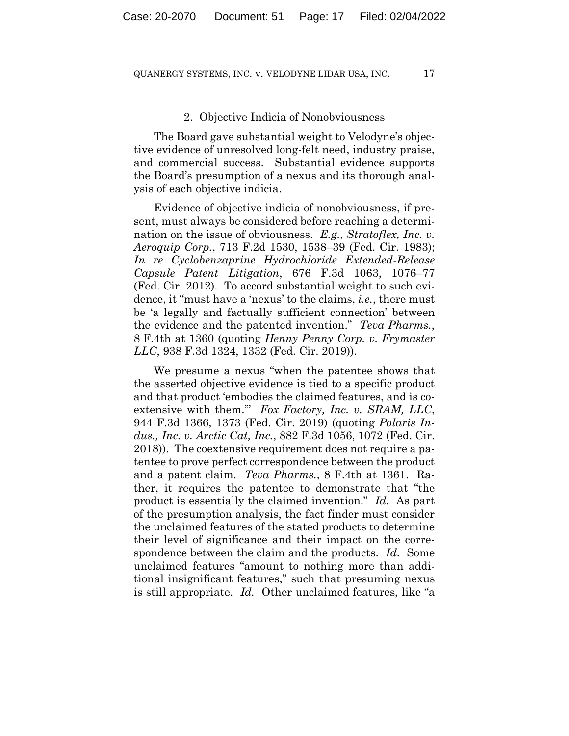#### 2. Objective Indicia of Nonobviousness

The Board gave substantial weight to Velodyne's objective evidence of unresolved long-felt need, industry praise, and commercial success. Substantial evidence supports the Board's presumption of a nexus and its thorough analysis of each objective indicia.

Evidence of objective indicia of nonobviousness, if present, must always be considered before reaching a determination on the issue of obviousness. *E.g.*, *Stratoflex, Inc. v. Aeroquip Corp.*, 713 F.2d 1530, 1538–39 (Fed. Cir. 1983); *In re Cyclobenzaprine Hydrochloride Extended-Release Capsule Patent Litigation*, 676 F.3d 1063, 1076–77 (Fed. Cir. 2012). To accord substantial weight to such evidence, it "must have a 'nexus' to the claims, *i.e.*, there must be 'a legally and factually sufficient connection' between the evidence and the patented invention." *Teva Pharms.*, 8 F.4th at 1360 (quoting *Henny Penny Corp. v. Frymaster LLC*, 938 F.3d 1324, 1332 (Fed. Cir. 2019)).

We presume a nexus "when the patentee shows that the asserted objective evidence is tied to a specific product and that product 'embodies the claimed features, and is coextensive with them.'" *Fox Factory, Inc. v. SRAM, LLC*, 944 F.3d 1366, 1373 (Fed. Cir. 2019) (quoting *Polaris Indus., Inc. v. Arctic Cat, Inc.*, 882 F.3d 1056, 1072 (Fed. Cir. 2018)). The coextensive requirement does not require a patentee to prove perfect correspondence between the product and a patent claim. *Teva Pharms.*, 8 F.4th at 1361. Rather, it requires the patentee to demonstrate that "the product is essentially the claimed invention." *Id.* As part of the presumption analysis, the fact finder must consider the unclaimed features of the stated products to determine their level of significance and their impact on the correspondence between the claim and the products. *Id.* Some unclaimed features "amount to nothing more than additional insignificant features," such that presuming nexus is still appropriate. *Id.* Other unclaimed features, like "a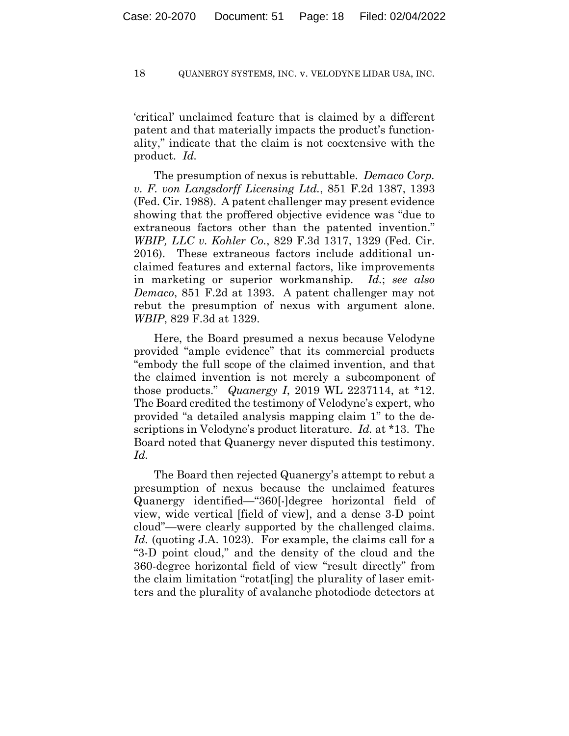'critical' unclaimed feature that is claimed by a different patent and that materially impacts the product's functionality," indicate that the claim is not coextensive with the product. *Id.*

The presumption of nexus is rebuttable. *Demaco Corp. v. F. von Langsdorff Licensing Ltd.*, 851 F.2d 1387, 1393 (Fed. Cir. 1988). A patent challenger may present evidence showing that the proffered objective evidence was "due to extraneous factors other than the patented invention." *WBIP, LLC v. Kohler Co.*, 829 F.3d 1317, 1329 (Fed. Cir. 2016). These extraneous factors include additional unclaimed features and external factors, like improvements in marketing or superior workmanship. *Id.*; *see also Demaco*, 851 F.2d at 1393. A patent challenger may not rebut the presumption of nexus with argument alone. *WBIP*, 829 F.3d at 1329.

Here, the Board presumed a nexus because Velodyne provided "ample evidence" that its commercial products "embody the full scope of the claimed invention, and that the claimed invention is not merely a subcomponent of those products." *Quanergy I*, 2019 WL 2237114, at \*12. The Board credited the testimony of Velodyne's expert, who provided "a detailed analysis mapping claim 1" to the descriptions in Velodyne's product literature. *Id.* at \*13. The Board noted that Quanergy never disputed this testimony. *Id.*

The Board then rejected Quanergy's attempt to rebut a presumption of nexus because the unclaimed features Quanergy identified—"360[-]degree horizontal field of view, wide vertical [field of view], and a dense 3-D point cloud"—were clearly supported by the challenged claims. *Id.* (quoting J.A. 1023). For example, the claims call for a "3-D point cloud," and the density of the cloud and the 360-degree horizontal field of view "result directly" from the claim limitation "rotat[ing] the plurality of laser emitters and the plurality of avalanche photodiode detectors at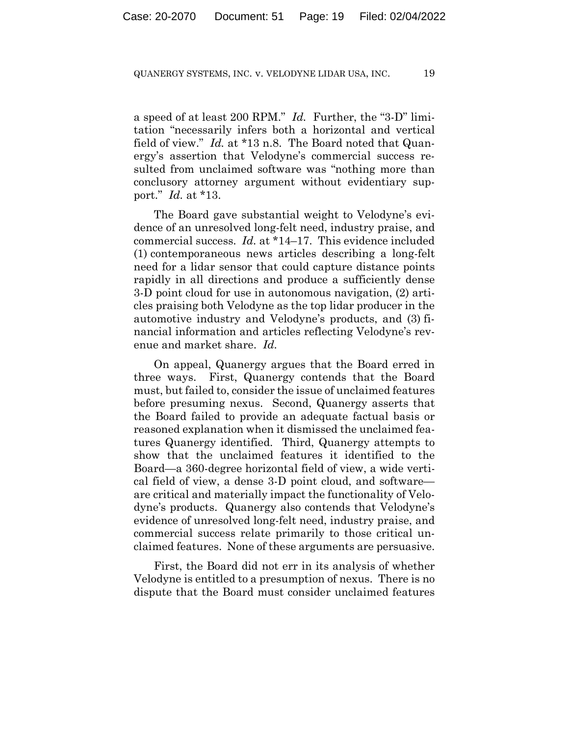a speed of at least 200 RPM." *Id.* Further, the "3-D" limitation "necessarily infers both a horizontal and vertical field of view." *Id.* at \*13 n.8. The Board noted that Quanergy's assertion that Velodyne's commercial success resulted from unclaimed software was "nothing more than conclusory attorney argument without evidentiary support." *Id.* at \*13.

The Board gave substantial weight to Velodyne's evidence of an unresolved long-felt need, industry praise, and commercial success. *Id.* at \*14–17. This evidence included (1) contemporaneous news articles describing a long-felt need for a lidar sensor that could capture distance points rapidly in all directions and produce a sufficiently dense 3-D point cloud for use in autonomous navigation, (2) articles praising both Velodyne as the top lidar producer in the automotive industry and Velodyne's products, and (3) financial information and articles reflecting Velodyne's revenue and market share. *Id.*

On appeal, Quanergy argues that the Board erred in three ways. First, Quanergy contends that the Board must, but failed to, consider the issue of unclaimed features before presuming nexus. Second, Quanergy asserts that the Board failed to provide an adequate factual basis or reasoned explanation when it dismissed the unclaimed features Quanergy identified. Third, Quanergy attempts to show that the unclaimed features it identified to the Board—a 360-degree horizontal field of view, a wide vertical field of view, a dense 3-D point cloud, and software are critical and materially impact the functionality of Velodyne's products. Quanergy also contends that Velodyne's evidence of unresolved long-felt need, industry praise, and commercial success relate primarily to those critical unclaimed features. None of these arguments are persuasive.

First, the Board did not err in its analysis of whether Velodyne is entitled to a presumption of nexus. There is no dispute that the Board must consider unclaimed features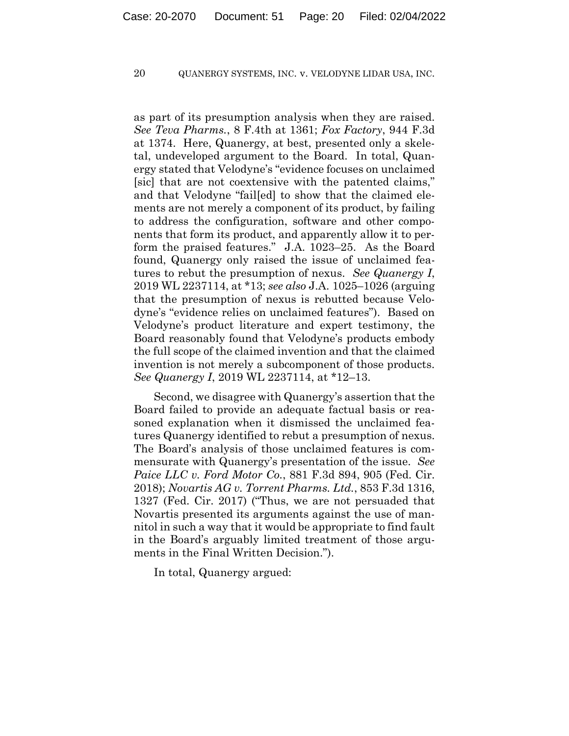as part of its presumption analysis when they are raised. *See Teva Pharms.*, 8 F.4th at 1361; *Fox Factory*, 944 F.3d at 1374. Here, Quanergy, at best, presented only a skeletal, undeveloped argument to the Board. In total, Quanergy stated that Velodyne's "evidence focuses on unclaimed [sic] that are not coextensive with the patented claims," and that Velodyne "fail[ed] to show that the claimed elements are not merely a component of its product, by failing to address the configuration, software and other components that form its product, and apparently allow it to perform the praised features." J.A. 1023–25. As the Board found, Quanergy only raised the issue of unclaimed features to rebut the presumption of nexus. *See Quanergy I*, 2019 WL 2237114, at \*13; *see also* J.A. 1025–1026 (arguing that the presumption of nexus is rebutted because Velodyne's "evidence relies on unclaimed features"). Based on Velodyne's product literature and expert testimony, the Board reasonably found that Velodyne's products embody the full scope of the claimed invention and that the claimed invention is not merely a subcomponent of those products. *See Quanergy I*, 2019 WL 2237114, at \*12–13.

Second, we disagree with Quanergy's assertion that the Board failed to provide an adequate factual basis or reasoned explanation when it dismissed the unclaimed features Quanergy identified to rebut a presumption of nexus. The Board's analysis of those unclaimed features is commensurate with Quanergy's presentation of the issue. *See Paice LLC v. Ford Motor Co.*, 881 F.3d 894, 905 (Fed. Cir. 2018); *Novartis AG v. Torrent Pharms. Ltd.*, 853 F.3d 1316, 1327 (Fed. Cir. 2017) ("Thus, we are not persuaded that Novartis presented its arguments against the use of mannitol in such a way that it would be appropriate to find fault in the Board's arguably limited treatment of those arguments in the Final Written Decision.").

In total, Quanergy argued: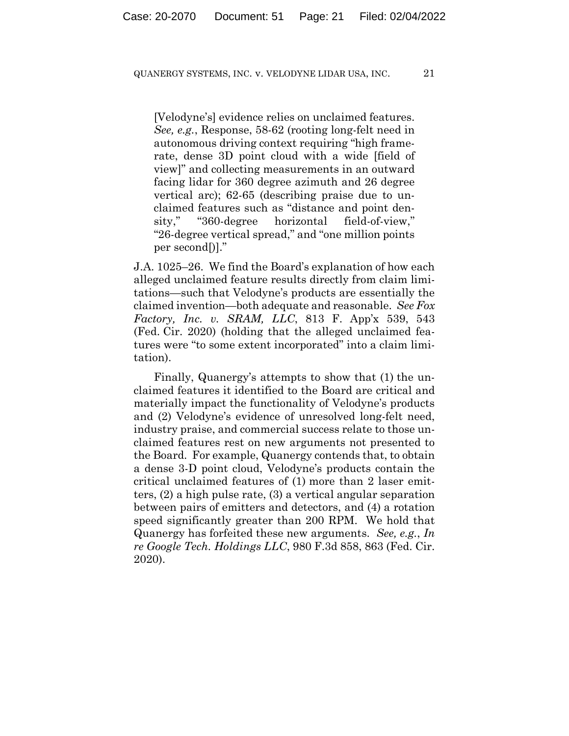[Velodyne's] evidence relies on unclaimed features. *See, e.g.*, Response, 58-62 (rooting long-felt need in autonomous driving context requiring "high framerate, dense 3D point cloud with a wide [field of view]" and collecting measurements in an outward facing lidar for 360 degree azimuth and 26 degree vertical arc); 62-65 (describing praise due to unclaimed features such as "distance and point density," "360-degree horizontal field-of-view," "26-degree vertical spread," and "one million points per second[)]."

J.A. 1025–26. We find the Board's explanation of how each alleged unclaimed feature results directly from claim limitations—such that Velodyne's products are essentially the claimed invention—both adequate and reasonable. *See Fox Factory, Inc. v. SRAM, LLC*, 813 F. App'x 539, 543 (Fed. Cir. 2020) (holding that the alleged unclaimed features were "to some extent incorporated" into a claim limitation).

Finally, Quanergy's attempts to show that (1) the unclaimed features it identified to the Board are critical and materially impact the functionality of Velodyne's products and (2) Velodyne's evidence of unresolved long-felt need, industry praise, and commercial success relate to those unclaimed features rest on new arguments not presented to the Board. For example, Quanergy contends that, to obtain a dense 3-D point cloud, Velodyne's products contain the critical unclaimed features of (1) more than 2 laser emitters, (2) a high pulse rate, (3) a vertical angular separation between pairs of emitters and detectors, and (4) a rotation speed significantly greater than 200 RPM. We hold that Quanergy has forfeited these new arguments. *See, e.g.*, *In re Google Tech. Holdings LLC*, 980 F.3d 858, 863 (Fed. Cir. 2020).